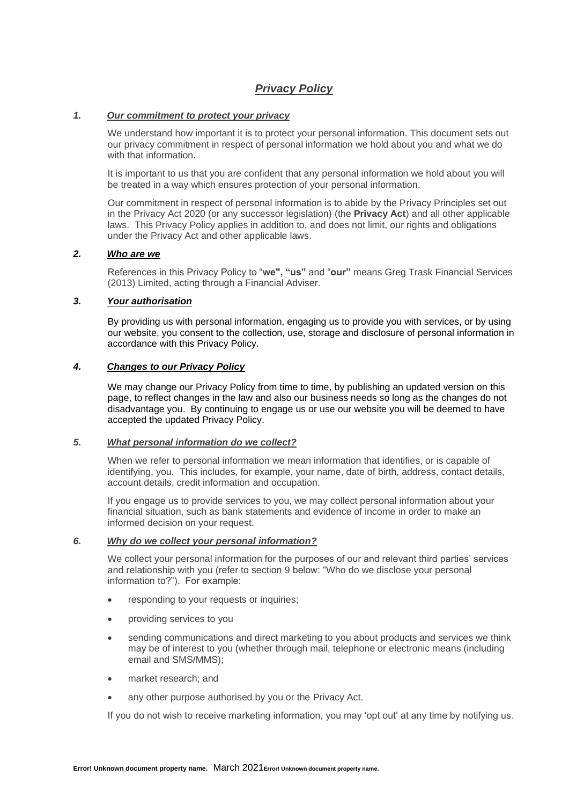# *Privacy Policy*

# *1. Our commitment to protect your privacy*

We understand how important it is to protect your personal information. This document sets out our privacy commitment in respect of personal information we hold about you and what we do with that information.

It is important to us that you are confident that any personal information we hold about you will be treated in a way which ensures protection of your personal information.

Our commitment in respect of personal information is to abide by the Privacy Principles set out in the Privacy Act 2020 (or any successor legislation) (the **Privacy Act**) and all other applicable laws. This Privacy Policy applies in addition to, and does not limit, our rights and obligations under the Privacy Act and other applicable laws.

### *2. Who are we*

References in this Privacy Policy to "**we", "us"** and "**our"** means Greg Trask Financial Services (2013) Limited, acting through a Financial Adviser.

### *3. Your authorisation*

By providing us with personal information, engaging us to provide you with services, or by using our website, you consent to the collection, use, storage and disclosure of personal information in accordance with this Privacy Policy.

### *4. Changes to our Privacy Policy*

We may change our Privacy Policy from time to time, by publishing an updated version on this page, to reflect changes in the law and also our business needs so long as the changes do not disadvantage you. By continuing to engage us or use our website you will be deemed to have accepted the updated Privacy Policy.

### *5. What personal information do we collect?*

When we refer to personal information we mean information that identifies, or is capable of identifying, you. This includes, for example, your name, date of birth, address, contact details, account details, credit information and occupation.

If you engage us to provide services to you, we may collect personal information about your financial situation, such as bank statements and evidence of income in order to make an informed decision on your request.

### *6. Why do we collect your personal information?*

We collect your personal information for the purposes of our and relevant third parties' services and relationship with you (refer to section 9 below: "Who do we disclose your personal information to?"). For example:

- responding to your requests or inquiries;
- providing services to you
- sending communications and direct marketing to you about products and services we think may be of interest to you (whether through mail, telephone or electronic means (including email and SMS/MMS);
- market research; and
- any other purpose authorised by you or the Privacy Act.

If you do not wish to receive marketing information, you may 'opt out' at any time by notifying us.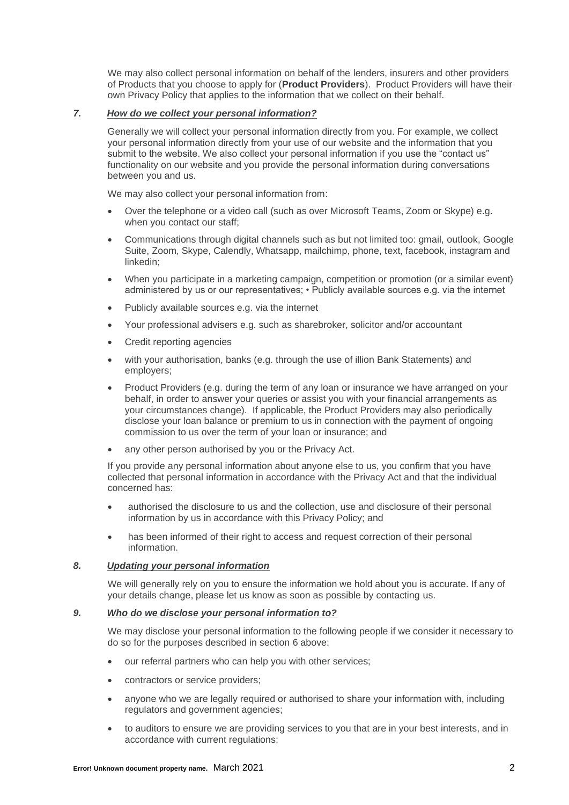We may also collect personal information on behalf of the lenders, insurers and other providers of Products that you choose to apply for (**Product Providers**). Product Providers will have their own Privacy Policy that applies to the information that we collect on their behalf.

## *7. How do we collect your personal information?*

Generally we will collect your personal information directly from you. For example, we collect your personal information directly from your use of our website and the information that you submit to the website. We also collect your personal information if you use the "contact us" functionality on our website and you provide the personal information during conversations between you and us.

We may also collect your personal information from:

- Over the telephone or a video call (such as over Microsoft Teams, Zoom or Skype) e.g. when you contact our staff;
- Communications through digital channels such as but not limited too: gmail, outlook, Google Suite, Zoom, Skype, Calendly, Whatsapp, mailchimp, phone, text, facebook, instagram and linkedin;
- When you participate in a marketing campaign, competition or promotion (or a similar event) administered by us or our representatives; • Publicly available sources e.g. via the internet
- Publicly available sources e.g. via the internet
- Your professional advisers e.g. such as sharebroker, solicitor and/or accountant
- Credit reporting agencies
- with your authorisation, banks (e.g. through the use of illion Bank Statements) and employers;
- Product Providers (e.g. during the term of any loan or insurance we have arranged on your behalf, in order to answer your queries or assist you with your financial arrangements as your circumstances change). If applicable, the Product Providers may also periodically disclose your loan balance or premium to us in connection with the payment of ongoing commission to us over the term of your loan or insurance; and
- any other person authorised by you or the Privacy Act.

If you provide any personal information about anyone else to us, you confirm that you have collected that personal information in accordance with the Privacy Act and that the individual concerned has:

- authorised the disclosure to us and the collection, use and disclosure of their personal information by us in accordance with this Privacy Policy; and
- has been informed of their right to access and request correction of their personal information.

### *8. Updating your personal information*

We will generally rely on you to ensure the information we hold about you is accurate. If any of your details change, please let us know as soon as possible by contacting us.

# *9. Who do we disclose your personal information to?*

We may disclose your personal information to the following people if we consider it necessary to do so for the purposes described in section 6 above:

- our referral partners who can help you with other services;
- contractors or service providers;
- anyone who we are legally required or authorised to share your information with, including regulators and government agencies;
- to auditors to ensure we are providing services to you that are in your best interests, and in accordance with current regulations;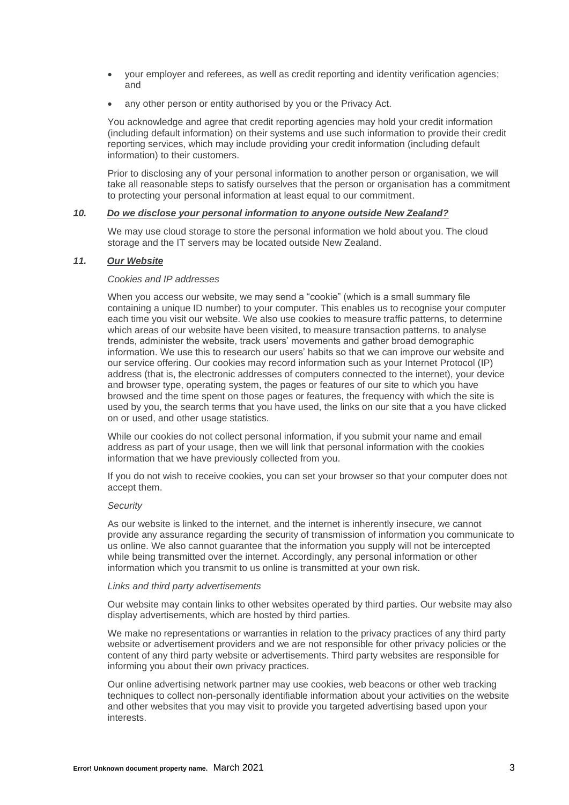- your employer and referees, as well as credit reporting and identity verification agencies; and
- any other person or entity authorised by you or the Privacy Act.

You acknowledge and agree that credit reporting agencies may hold your credit information (including default information) on their systems and use such information to provide their credit reporting services, which may include providing your credit information (including default information) to their customers.

Prior to disclosing any of your personal information to another person or organisation, we will take all reasonable steps to satisfy ourselves that the person or organisation has a commitment to protecting your personal information at least equal to our commitment.

#### *10. Do we disclose your personal information to anyone outside New Zealand?*

We may use cloud storage to store the personal information we hold about you. The cloud storage and the IT servers may be located outside New Zealand.

### *11. Our Website*

#### *Cookies and IP addresses*

When you access our website, we may send a "cookie" (which is a small summary file containing a unique ID number) to your computer. This enables us to recognise your computer each time you visit our website. We also use cookies to measure traffic patterns, to determine which areas of our website have been visited, to measure transaction patterns, to analyse trends, administer the website, track users' movements and gather broad demographic information. We use this to research our users' habits so that we can improve our website and our service offering. Our cookies may record information such as your Internet Protocol (IP) address (that is, the electronic addresses of computers connected to the internet), your device and browser type, operating system, the pages or features of our site to which you have browsed and the time spent on those pages or features, the frequency with which the site is used by you, the search terms that you have used, the links on our site that a you have clicked on or used, and other usage statistics.

While our cookies do not collect personal information, if you submit your name and email address as part of your usage, then we will link that personal information with the cookies information that we have previously collected from you.

If you do not wish to receive cookies, you can set your browser so that your computer does not accept them.

#### *Security*

As our website is linked to the internet, and the internet is inherently insecure, we cannot provide any assurance regarding the security of transmission of information you communicate to us online. We also cannot guarantee that the information you supply will not be intercepted while being transmitted over the internet. Accordingly, any personal information or other information which you transmit to us online is transmitted at your own risk.

#### *Links and third party advertisements*

Our website may contain links to other websites operated by third parties. Our website may also display advertisements, which are hosted by third parties.

We make no representations or warranties in relation to the privacy practices of any third party website or advertisement providers and we are not responsible for other privacy policies or the content of any third party website or advertisements. Third party websites are responsible for informing you about their own privacy practices.

Our online advertising network partner may use cookies, web beacons or other web tracking techniques to collect non-personally identifiable information about your activities on the website and other websites that you may visit to provide you targeted advertising based upon your interests.